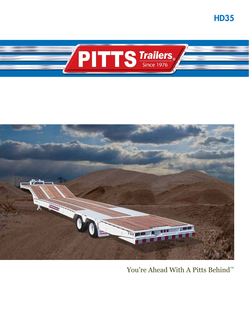HD35





You're Ahead With A Pitts Behind<sup>™</sup>